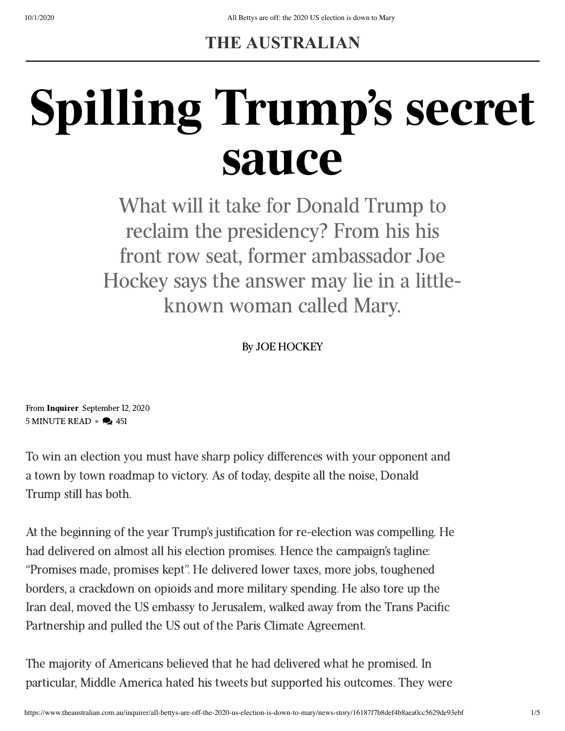## **THE AUSTRALIAN**

## Spilling Trump's secret sauce

What will it take for Donald Trump to reclaim the presidency? From his his front row seat, former ambassador Joe Hockey says the answer may lie in a littleknown woman called Mary.

By JOE HOCKEY

From [Inquirer](https://www.theaustralian.com.au/inquirer) September 12, 2020  $5$  MINUTE READ  $\bullet$   $\bullet$  451

To win an election you must have sharp policy differences with your opponent and a town by town roadmap to victory. As of today, despite all the noise, Donald Trump still has both.

At the beginning of the year Trump's justification for re-election was compelling. He had delivered on almost all his election promises. Hence the campaign's tagline: "Promises made, promises kept". He delivered lower taxes, more jobs, toughened borders, a crackdown on opioids and more military spending. He also tore up the Iran deal, moved the US embassy to Jerusalem, walked away from the Trans Pacific Partnership and pulled the US out of the Paris Climate Agreement.

The majority of Americans believed that he had delivered what he promised. In particular, Middle America hated his tweets but supported his outcomes. They were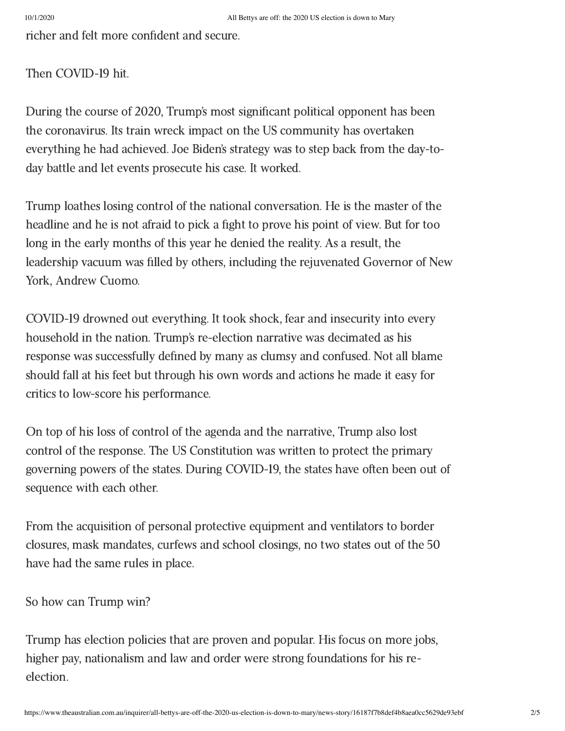richer and felt more confident and secure.

Then COVID-19 hit.

During the course of 2020, Trump's most significant political opponent has been the coronavirus. Its train wreck impact on the US community has overtaken everything he had achieved. Joe Biden's strategy was to step back from the day-today battle and let events prosecute his case. It worked.

Trump loathes losing control of the national conversation. He is the master of the headline and he is not afraid to pick a fight to prove his point of view. But for too long in the early months of this year he denied the reality. As a result, the leadership vacuum was filled by others, including the rejuvenated Governor of New York, Andrew Cuomo.

COVID-19 drowned out everything. It took shock, fear and insecurity into every household in the nation. Trump's re-election narrative was decimated as his response was successfully defined by many as clumsy and confused. Not all blame should fall at his feet but through his own words and actions he made it easy for critics to low-score his performance.

On top of his loss of control of the agenda and the narrative, Trump also lost control of the response. The US Constitution was written to protect the primary governing powers of the states. During COVID-19, the states have often been out of sequence with each other.

From the acquisition of personal protective equipment and ventilators to border closures, mask mandates, curfews and school closings, no two states out of the 50 have had the same rules in place.

So how can Trump win?

Trump has election policies that are proven and popular. His focus on more jobs, higher pay, nationalism and law and order were strong foundations for his reelection.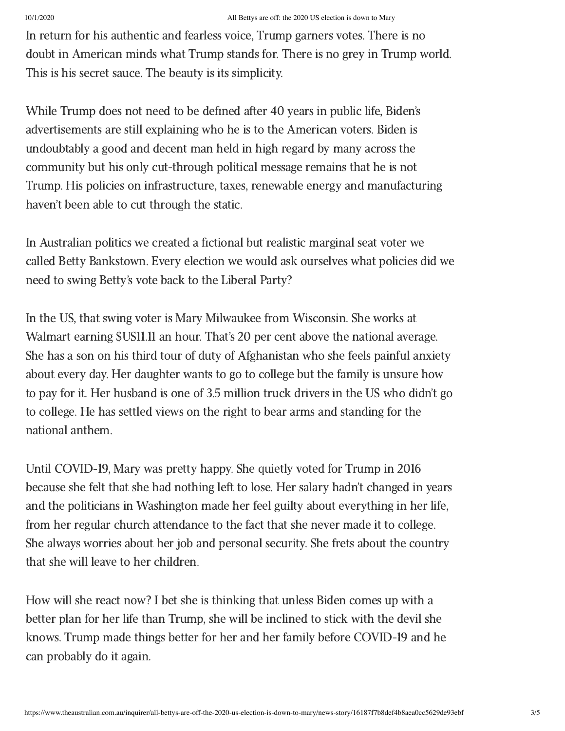In return for his authentic and fearless voice, Trump garners votes. There is no doubt in American minds what Trump stands for. There is no grey in Trump world. This is his secret sauce. The beauty is its simplicity.

While Trump does not need to be defined after 40 years in public life, Biden's advertisements are still explaining who he is to the American voters. Biden is undoubtably a good and decent man held in high regard by many across the community but his only cut-through political message remains that he is not Trump. His policies on infrastructure, taxes, renewable energy and manufacturing haven't been able to cut through the static.

In Australian politics we created a fictional but realistic marginal seat voter we called Betty Bankstown. Every election we would ask ourselves what policies did we need to swing Betty's vote back to the Liberal Party?

In the US, that swing voter is Mary Milwaukee from Wisconsin. She works at Walmart earning \$US11.11 an hour. That's 20 per cent above the national average. She has a son on his third tour of duty of Afghanistan who she feels painful anxiety about every day. Her daughter wants to go to college but the family is unsure how to pay for it. Her husband is one of 3.5 million truck drivers in the US who didn't go to college. He has settled views on the right to bear arms and standing for the national anthem.

Until COVID-19, Mary was pretty happy. She quietly voted for Trump in 2016 because she felt that she had nothing left to lose. Her salary hadn't changed in years and the politicians in Washington made her feel guilty about everything in her life, from her regular church attendance to the fact that she never made it to college. She always worries about her job and personal security. She frets about the country that she will leave to her children.

How will she react now? I bet she is thinking that unless Biden comes up with a better plan for her life than Trump, she will be inclined to stick with the devil she knows. Trump made things better for her and her family before COVID-19 and he can probably do it again.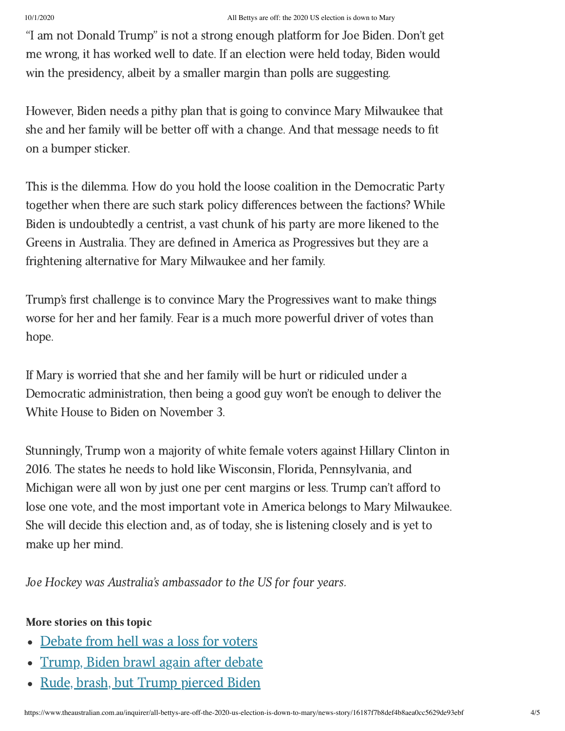"I am not Donald Trump" is not a strong enough platform for Joe Biden. Don't get me wrong, it has worked well to date. If an election were held today, Biden would win the presidency, albeit by a smaller margin than polls are suggesting.

However, Biden needs a pithy plan that is going to convince Mary Milwaukee that she and her family will be better off with a change. And that message needs to fit on a bumper sticker.

This is the dilemma. How do you hold the loose coalition in the Democratic Party together when there are such stark policy differences between the factions? While Biden is undoubtedly a centrist, a vast chunk of his party are more likened to the Greens in Australia. They are defined in America as Progressives but they are a frightening alternative for Mary Milwaukee and her family.

Trump's first challenge is to convince Mary the Progressives want to make things worse for her and her family. Fear is a much more powerful driver of votes than hope.

If Mary is worried that she and her family will be hurt or ridiculed under a Democratic administration, then being a good guy won't be enough to deliver the White House to Biden on November 3.

Stunningly, Trump won a majority of white female voters against Hillary Clinton in 2016. The states he needs to hold like Wisconsin, Florida, Pennsylvania, and Michigan were all won by just one per cent margins or less. Trump can't afford to lose one vote, and the most important vote in America belongs to Mary Milwaukee. She will decide this election and, as of today, she is listening closely and is yet to make up her mind.

Joe Hockey was Australia's ambassador to the US for four years.

## More stories on this topic

- [Debate](https://www.theaustralian.com.au/business/the-wall-street-journal/trumpbiden-debate-this-was-the-clash-from-hell/news-story/f184ff0b4d14a5e9ba35af1fa5dd7da8) from hell was a loss for voters  $\bullet$
- [Trump,](https://www.theaustralian.com.au/world/donald-trump-joe-biden-brawl-again-after-debate/news-story/0110f7064d747536288025e1d29a4a0f) Biden brawl again after debate
- Rude, brash, but Trump [pierced](https://www.theaustralian.com.au/commentary/rude-and-brash-but-trump-pierced-biden-bubble-in-presidential-debate/news-story/fe2ea0f402e4a6c48f3df0a6dfd17b6c) Biden